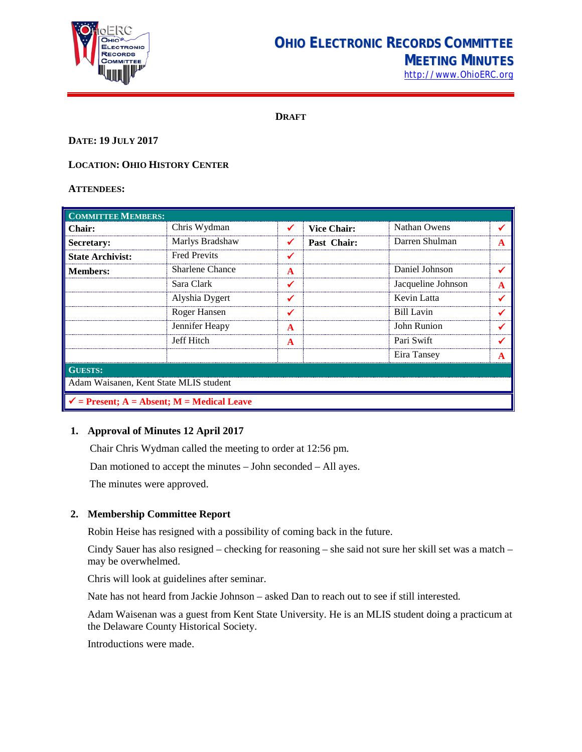

# **OHIO ELECTRONIC RECORDS COMMITTEE MEETING MINUTES**

[http://www.OhioERC.org](http://www.ohioerc.org/)

**DRAFT**

### **DATE: 19 JULY 2017**

# **LOCATION: OHIO HISTORY CENTER**

#### **ATTENDEES:**

| <b>COMMITTEE MEMBERS:</b>                             |                     |   |                    |                    |   |  |
|-------------------------------------------------------|---------------------|---|--------------------|--------------------|---|--|
| <b>Chair:</b>                                         | Chris Wydman        |   | <b>Vice Chair:</b> | Nathan Owens       |   |  |
| <b>Secretary:</b>                                     | Marlys Bradshaw     |   | Past Chair:        | Darren Shulman     | A |  |
| <b>State Archivist:</b>                               | <b>Fred Previts</b> |   |                    |                    |   |  |
| <b>Members:</b>                                       | Sharlene Chance     | A |                    | Daniel Johnson     |   |  |
|                                                       | Sara Clark          | ✔ |                    | Jacqueline Johnson | A |  |
|                                                       | Alyshia Dygert      |   |                    | Kevin Latta        |   |  |
|                                                       | Roger Hansen        |   |                    | Bill Lavin         |   |  |
|                                                       | Jennifer Heapy      | A |                    | John Runion        |   |  |
|                                                       | Jeff Hitch          | A |                    | Pari Swift         |   |  |
|                                                       |                     |   |                    | Eira Tansey        | A |  |
| <b>GUESTS:</b>                                        |                     |   |                    |                    |   |  |
| Adam Waisanen, Kent State MLIS student                |                     |   |                    |                    |   |  |
| $\checkmark$ = Present; A = Absent; M = Medical Leave |                     |   |                    |                    |   |  |

# **1. Approval of Minutes 12 April 2017**

Chair Chris Wydman called the meeting to order at 12:56 pm.

Dan motioned to accept the minutes – John seconded – All ayes.

The minutes were approved.

#### **2. Membership Committee Report**

Robin Heise has resigned with a possibility of coming back in the future.

Cindy Sauer has also resigned – checking for reasoning – she said not sure her skill set was a match – may be overwhelmed.

Chris will look at guidelines after seminar.

Nate has not heard from Jackie Johnson – asked Dan to reach out to see if still interested.

Adam Waisenan was a guest from Kent State University. He is an MLIS student doing a practicum at the Delaware County Historical Society.

Introductions were made.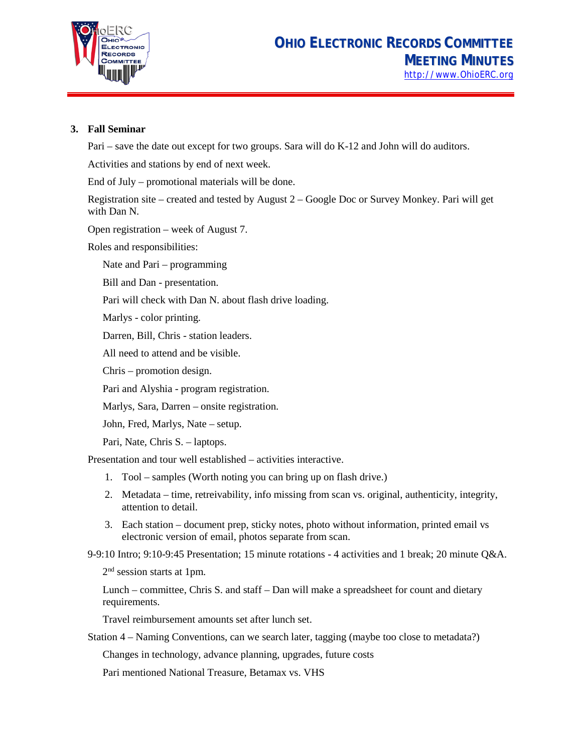

# **3. Fall Seminar**

Pari – save the date out except for two groups. Sara will do K-12 and John will do auditors.

Activities and stations by end of next week.

End of July – promotional materials will be done.

Registration site – created and tested by August 2 – Google Doc or Survey Monkey. Pari will get with Dan N.

Open registration – week of August 7.

Roles and responsibilities:

Nate and Pari – programming

Bill and Dan - presentation.

Pari will check with Dan N. about flash drive loading.

Marlys - color printing.

Darren, Bill, Chris - station leaders.

All need to attend and be visible.

Chris – promotion design.

Pari and Alyshia - program registration.

Marlys, Sara, Darren – onsite registration.

John, Fred, Marlys, Nate – setup.

Pari, Nate, Chris S. – laptops.

Presentation and tour well established – activities interactive.

- 1. Tool samples (Worth noting you can bring up on flash drive.)
- 2. Metadata time, retreivability, info missing from scan vs. original, authenticity, integrity, attention to detail.
- 3. Each station document prep, sticky notes, photo without information, printed email vs electronic version of email, photos separate from scan.

9-9:10 Intro; 9:10-9:45 Presentation; 15 minute rotations - 4 activities and 1 break; 20 minute Q&A.

2<sup>nd</sup> session starts at 1pm.

Lunch – committee, Chris S. and staff – Dan will make a spreadsheet for count and dietary requirements.

Travel reimbursement amounts set after lunch set.

Station 4 – Naming Conventions, can we search later, tagging (maybe too close to metadata?)

Changes in technology, advance planning, upgrades, future costs

Pari mentioned National Treasure, Betamax vs. VHS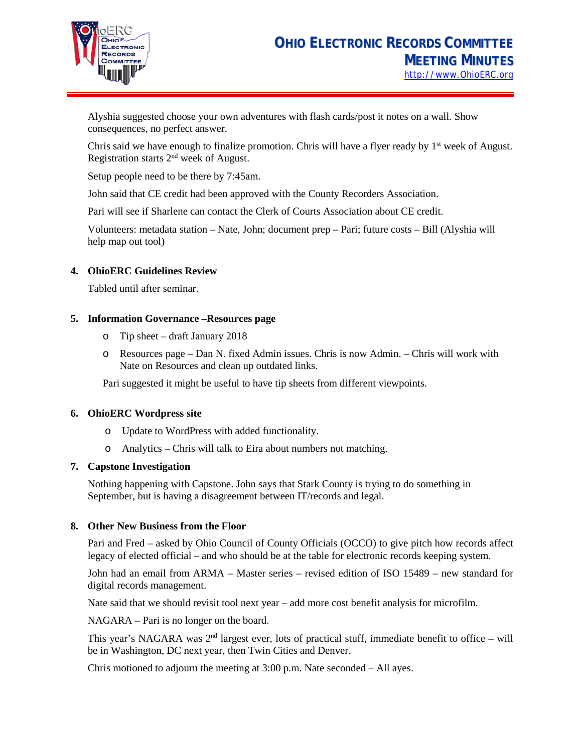

Alyshia suggested choose your own adventures with flash cards/post it notes on a wall. Show consequences, no perfect answer.

Chris said we have enough to finalize promotion. Chris will have a flyer ready by  $1<sup>st</sup>$  week of August. Registration starts 2nd week of August.

Setup people need to be there by 7:45am.

John said that CE credit had been approved with the County Recorders Association.

Pari will see if Sharlene can contact the Clerk of Courts Association about CE credit.

Volunteers: metadata station – Nate, John; document prep – Pari; future costs – Bill (Alyshia will help map out tool)

## **4. OhioERC Guidelines Review**

Tabled until after seminar.

## **5. Information Governance –Resources page**

- o Tip sheet draft January 2018
- o Resources page Dan N. fixed Admin issues. Chris is now Admin. Chris will work with Nate on Resources and clean up outdated links.

Pari suggested it might be useful to have tip sheets from different viewpoints.

#### **6. OhioERC Wordpress site**

- o Update to WordPress with added functionality.
- o Analytics Chris will talk to Eira about numbers not matching.

#### **7. Capstone Investigation**

Nothing happening with Capstone. John says that Stark County is trying to do something in September, but is having a disagreement between IT/records and legal.

#### **8. Other New Business from the Floor**

Pari and Fred – asked by Ohio Council of County Officials (OCCO) to give pitch how records affect legacy of elected official – and who should be at the table for electronic records keeping system.

John had an email from ARMA – Master series – revised edition of ISO 15489 – new standard for digital records management.

Nate said that we should revisit tool next year – add more cost benefit analysis for microfilm.

NAGARA – Pari is no longer on the board.

This year's NAGARA was  $2<sup>nd</sup>$  largest ever, lots of practical stuff, immediate benefit to office – will be in Washington, DC next year, then Twin Cities and Denver.

Chris motioned to adjourn the meeting at 3:00 p.m. Nate seconded – All ayes.